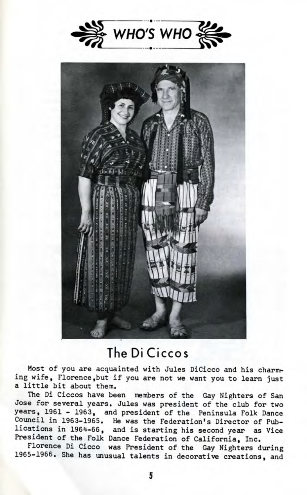



## The Di Ciccos

Most of you are acquainted with Jules DiCicco and his charming wife, Florence, but if you are not we want you to learn just a little bit about them.

The Di Ciccos have been members of the Gay Nighters of San Jose for several years. Jules was president of the club for two years, 1961 - 1963, and president of the Peninsula Folk Dance Council in 1963-1965. He was the Federation's Director of Publications in 1964-66, and is starting his second year as Vice President of the Folk Dance Federation of California, Inc.

Florence Di Cicco was President of the Gay Nighters during 1965-1966. She has unusual talents in decorative creations, and